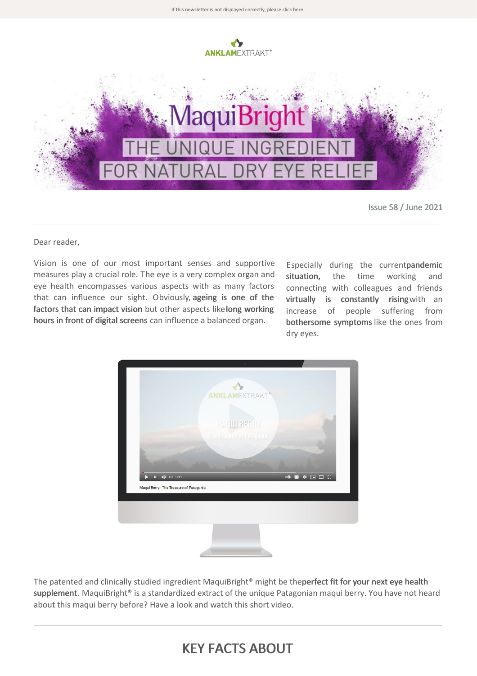

If this newsletter is not displayed correctly, please click [here.](https://t94bbed40.emailsys1a.net/mailing/29/5023273/0/d5fe77a45f/index.html)

Issue 58 / June 2021

Dear reader,

Vision is one of our most important senses and supportive measures play a crucial role. The eye is a very complex organ and eye health encompasses various aspects with as many factors that can influence our sight. Obviously, ageing is one of the factors that can impact vision but other aspects likelong working hours in front of digital screens can influence a balanced organ.

Especially during the currentpandemic situation, the time working and connecting with colleagues and friends virtually is constantly risingwith an increase of people suffering from bothersome symptoms like the ones from dry eyes.



The patented and clinically studied ingredient MaquiBright® might be theperfect fit for your next eye health supplement. MaquiBright® is a standardized extract of the unique Patagonian maqui berry. You have not heard about this maqui berry before? Have a look and watch this short video.

## KEY FACTS ABOUT